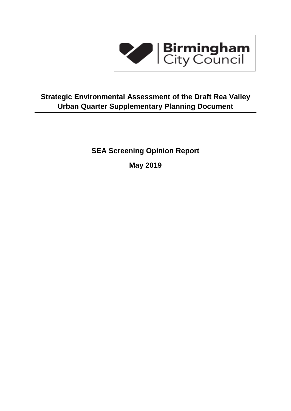

# **Strategic Environmental Assessment of the Draft Rea Valley Urban Quarter Supplementary Planning Document**

**SEA Screening Opinion Report**

**May 2019**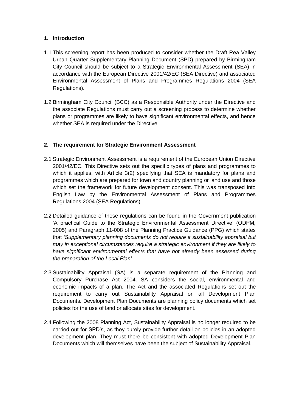# **1. Introduction**

- 1.1 This screening report has been produced to consider whether the Draft Rea Valley Urban Quarter Supplementary Planning Document (SPD) prepared by Birmingham City Council should be subject to a Strategic Environmental Assessment (SEA) in accordance with the European Directive 2001/42/EC (SEA Directive) and associated Environmental Assessment of Plans and Programmes Regulations 2004 (SEA Regulations).
- 1.2 Birmingham City Council (BCC) as a Responsible Authority under the Directive and the associate Regulations must carry out a screening process to determine whether plans or programmes are likely to have significant environmental effects, and hence whether SEA is required under the Directive.

# **2. The requirement for Strategic Environment Assessment**

- 2.1 Strategic Environment Assessment is a requirement of the European Union Directive 2001/42/EC. This Directive sets out the specific types of plans and programmes to which it applies, with Article 3(2) specifying that SEA is mandatory for plans and programmes which are prepared for town and country planning or land use and those which set the framework for future development consent. This was transposed into English Law by the Environmental Assessment of Plans and Programmes Regulations 2004 (SEA Regulations).
- 2.2 Detailed guidance of these regulations can be found in the Government publication 'A practical Guide to the Strategic Environmental Assessment Directive' (ODPM, 2005) and Paragraph 11-008 of the Planning Practice Guidance (PPG) which states that *'Supplementary planning documents do not require a sustainability appraisal but may in exceptional circumstances require a strategic environment if they are likely to have significant environmental effects that have not already been assessed during the preparation of the Local Plan'.*
- 2.3 Sustainability Appraisal (SA) is a separate requirement of the Planning and Compulsory Purchase Act 2004. SA considers the social, environmental and economic impacts of a plan. The Act and the associated Regulations set out the requirement to carry out Sustainability Appraisal on all Development Plan Documents. Development Plan Documents are planning policy documents which set policies for the use of land or allocate sites for development.
- 2.4 Following the 2008 Planning Act, Sustainability Appraisal is no longer required to be carried out for SPD's, as they purely provide further detail on policies in an adopted development plan. They must there be consistent with adopted Development Plan Documents which will themselves have been the subject of Sustainability Appraisal.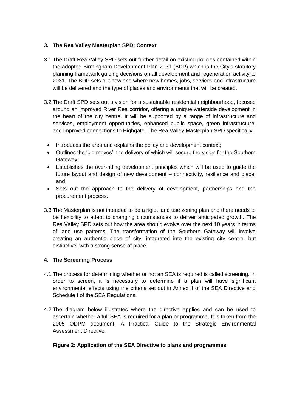# **3. The Rea Valley Masterplan SPD: Context**

- 3.1 The Draft Rea Valley SPD sets out further detail on existing policies contained within the adopted Birmingham Development Plan 2031 (BDP) which is the City's statutory planning framework guiding decisions on all development and regeneration activity to 2031. The BDP sets out how and where new homes, jobs, services and infrastructure will be delivered and the type of places and environments that will be created.
- 3.2 The Draft SPD sets out a vision for a sustainable residential neighbourhood, focused around an improved River Rea corridor, offering a unique waterside development in the heart of the city centre. It will be supported by a range of infrastructure and services, employment opportunities, enhanced public space, green infrastructure, and improved connections to Highgate. The Rea Valley Masterplan SPD specifically:
	- Introduces the area and explains the policy and development context;
	- Outlines the 'big moves', the delivery of which will secure the vision for the Southern Gateway;
	- Establishes the over-riding development principles which will be used to guide the future layout and design of new development – connectivity, resilience and place; and
	- Sets out the approach to the delivery of development, partnerships and the procurement process.
- 3.3 The Masterplan is not intended to be a rigid, land use zoning plan and there needs to be flexibility to adapt to changing circumstances to deliver anticipated growth. The Rea Valley SPD sets out how the area should evolve over the next 10 years in terms of land use patterns. The transformation of the Southern Gateway will involve creating an authentic piece of city, integrated into the existing city centre, but distinctive, with a strong sense of place.

### **4. The Screening Process**

- 4.1 The process for determining whether or not an SEA is required is called screening. In order to screen, it is necessary to determine if a plan will have significant environmental effects using the criteria set out in Annex II of the SEA Directive and Schedule I of the SEA Regulations.
- 4.2 The diagram below illustrates where the directive applies and can be used to ascertain whether a full SEA is required for a plan or programme. It is taken from the 2005 ODPM document: A Practical Guide to the Strategic Environmental Assessment Directive.

### **Figure 2: Application of the SEA Directive to plans and programmes**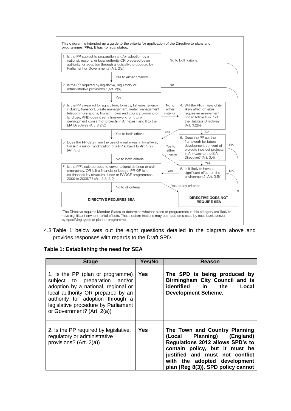

4.3 Table 1 below sets out the eight questions detailed in the diagram above and provides responses with regards to the Draft SPD.

### **Table 1: Establishing the need for SEA**

| <b>Stage</b>                                                                                                                                                                                                                                           | Yes/No     | Reason                                                                                                                                                                                                                                        |
|--------------------------------------------------------------------------------------------------------------------------------------------------------------------------------------------------------------------------------------------------------|------------|-----------------------------------------------------------------------------------------------------------------------------------------------------------------------------------------------------------------------------------------------|
| 1. Is the PP (plan or programme)<br>subject to preparation and/or<br>adoption by a national, regional or<br>local authority OR prepared by an<br>authority for adoption through a<br>legislative procedure by Parliament<br>or Government? (Art. 2(a)) | <b>Yes</b> | The SPD is being produced by<br>Birmingham City Council and is<br>identified in<br>the<br>Local<br><b>Development Scheme.</b>                                                                                                                 |
| 2. Is the PP required by legislative,<br>regulatory or administrative<br>provisions? (Art. 2(a))                                                                                                                                                       | <b>Yes</b> | The Town and Country Planning<br>Planning) (England)<br>(Local<br>Regulations 2012 allows SPD's to<br>contain policy, but it must be<br>justified and must not conflict<br>with the adopted development<br>plan (Reg 8(3)). SPD policy cannot |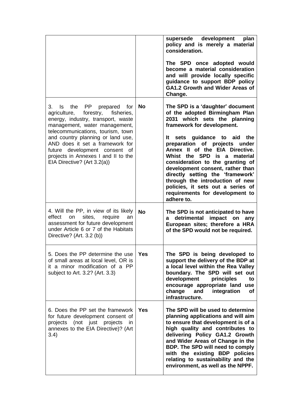|                                                                                                                                                                                                                                                                                                                                                                     |            | development<br>supersede<br>plan<br>policy and is merely a material<br>consideration.<br>The SPD once adopted would<br>become a material consideration<br>and will provide locally specific<br>guidance to support BDP policy<br>GA1.2 Growth and Wider Areas of<br>Change.                                                                                                                                                                                                                            |
|---------------------------------------------------------------------------------------------------------------------------------------------------------------------------------------------------------------------------------------------------------------------------------------------------------------------------------------------------------------------|------------|--------------------------------------------------------------------------------------------------------------------------------------------------------------------------------------------------------------------------------------------------------------------------------------------------------------------------------------------------------------------------------------------------------------------------------------------------------------------------------------------------------|
| 3.<br>PP prepared for<br>ls.<br>the<br>agriculture, forestry, fisheries,<br>energy, industry, transport, waste<br>management, water management,<br>telecommunications, tourism, town<br>and country planning or land use,<br>AND does it set a framework for<br>future development consent of<br>projects in Annexes I and II to the<br>EIA Directive? (Art 3.2(a)) | <b>No</b>  | The SPD is a 'daughter' document<br>of the adopted Birmingham Plan<br>2031 which sets the planning<br>framework for development.<br>It sets guidance to aid the<br>preparation of projects under<br>Annex II of the EIA Directive.<br>Whist the SPD is a material<br>consideration to the granting of<br>development consent, rather than<br>directly setting the 'framework'<br>through the introduction of new<br>policies, it sets out a series of<br>requirements for development to<br>adhere to. |
| 4. Will the PP, in view of its likely<br>effect<br>sites,<br>require<br>on<br>an<br>assessment for future development<br>under Article 6 or 7 of the Habitats<br>Directive? (Art. 3.2 (b))                                                                                                                                                                          | <b>No</b>  | The SPD is not anticipated to have<br>detrimental impact on<br>any<br>a<br>European sites; therefore a HRA<br>of the SPD would not be required.                                                                                                                                                                                                                                                                                                                                                        |
| 5. Does the PP determine the use<br>of small areas at local level, OR is<br>it a minor modification of a PP<br>subject to Art. 3.2? (Art. 3.3)                                                                                                                                                                                                                      | Yes        | The SPD is being developed to<br>support the delivery of the BDP at<br>a local level within the Rea Valley<br>boundary. The SPD will set out<br>development<br>principles<br>to<br>encourage appropriate land<br><b>use</b><br>change<br>integration<br>and<br>οf<br>infrastructure.                                                                                                                                                                                                                   |
| 6. Does the PP set the framework<br>for future development consent of<br>projects (not just<br>projects<br>$\mathsf{I}$<br>annexes to the EIA Directive)? (Art<br>3.4)                                                                                                                                                                                              | <b>Yes</b> | The SPD will be used to determine<br>planning applications and will aim<br>to ensure that development is of a<br>high quality and contributes to<br>delivering Policy GA1.2 Growth<br>and Wider Areas of Change in the<br>BDP. The SPD will need to comply<br>with the existing BDP policies<br>relating to sustainability and the<br>environment, as well as the NPPF.                                                                                                                                |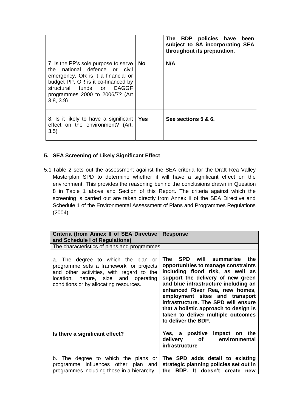|                                                                                                                                                                                                                                |           | The BDP policies have<br>been<br>subject to SA incorporating SEA<br>throughout its preparation. |
|--------------------------------------------------------------------------------------------------------------------------------------------------------------------------------------------------------------------------------|-----------|-------------------------------------------------------------------------------------------------|
| 7. Is the PP's sole purpose to serve<br>the national defence or civil<br>emergency, OR is it a financial or<br>budget PP, OR is it co-financed by<br>structural funds or EAGGF<br>programmes 2000 to 2006/7? (Art)<br>3.8, 3.9 | <b>No</b> | N/A                                                                                             |
| 8. Is it likely to have a significant   Yes<br>effect on the environment? (Art.<br>3.5)                                                                                                                                        |           | See sections 5 & 6.                                                                             |

# **5. SEA Screening of Likely Significant Effect**

5.1 Table 2 sets out the assessment against the SEA criteria for the Draft Rea Valley Masterplan SPD to determine whether it will have a significant effect on the environment. This provides the reasoning behind the conclusions drawn in Question 8 in Table 1 above and Section of this Report. The criteria against which the screening is carried out are taken directly from Annex II of the SEA Directive and Schedule 1 of the Environmental Assessment of Plans and Programmes Regulations (2004).

| Criteria (from Annex II of SEA Directive<br>and Schedule I of Regulations)                                                                                                                                  | <b>Response</b>                                                                                                                                                                                                                                                                                                                                                                                     |
|-------------------------------------------------------------------------------------------------------------------------------------------------------------------------------------------------------------|-----------------------------------------------------------------------------------------------------------------------------------------------------------------------------------------------------------------------------------------------------------------------------------------------------------------------------------------------------------------------------------------------------|
| The characteristics of plans and programmes                                                                                                                                                                 |                                                                                                                                                                                                                                                                                                                                                                                                     |
| a. The degree to which the plan or<br>programme sets a framework for projects<br>and other activities, with regard to the<br>location, nature, size and operating<br>conditions or by allocating resources. | The SPD will summarise the<br>opportunities to manage constraints<br>including flood risk, as well as<br>support the delivery of new green<br>and blue infrastructure including an<br>enhanced River Rea, new homes,<br>employment sites and transport<br>infrastructure. The SPD will ensure<br>that a holistic approach to design is<br>taken to deliver multiple outcomes<br>to deliver the BDP. |
| Is there a significant effect?                                                                                                                                                                              | Yes, a positive impact on the<br>delivery of environmental<br>infrastructure                                                                                                                                                                                                                                                                                                                        |
| b. The degree to which the plans or<br>programme influences other plan and<br>programmes including those in a hierarchy.                                                                                    | The SPD adds detail to existing<br>strategic planning policies set out in<br>BDP. It doesn't create new<br>the                                                                                                                                                                                                                                                                                      |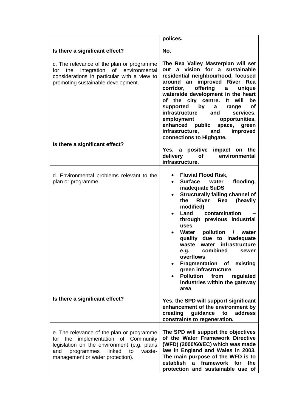|                                                                                                                                                                                                                   | polices.                                                                                                                                                                                                                                                                                                                                                                                                                                                                                                                                                                                          |
|-------------------------------------------------------------------------------------------------------------------------------------------------------------------------------------------------------------------|---------------------------------------------------------------------------------------------------------------------------------------------------------------------------------------------------------------------------------------------------------------------------------------------------------------------------------------------------------------------------------------------------------------------------------------------------------------------------------------------------------------------------------------------------------------------------------------------------|
| Is there a significant effect?                                                                                                                                                                                    | No.                                                                                                                                                                                                                                                                                                                                                                                                                                                                                                                                                                                               |
| c. The relevance of the plan or programme<br>environmental<br>the<br>integration<br>of<br>for<br>considerations in particular with a view to<br>promoting sustainable development.                                | The Rea Valley Masterplan will set<br>out a vision for a sustainable<br>residential neighbourhood, focused<br>around an improved River Rea<br>offering<br>corridor,<br>unique<br>a<br>waterside development in the heart<br>of the city centre.<br><b>It</b><br>will<br>be<br>by<br>supported<br>$\mathbf{a}$<br><b>of</b><br>range<br>infrastructure<br>and<br>services,<br>employment<br>opportunities,<br>enhanced public space,<br>green<br>infrastructure,<br>improved<br>and<br>connections to Highgate.                                                                                    |
| Is there a significant effect?                                                                                                                                                                                    | Yes, a positive impact on the<br>delivery<br>of<br>environmental<br>infrastructure.                                                                                                                                                                                                                                                                                                                                                                                                                                                                                                               |
| d. Environmental problems relevant to the<br>plan or programme.                                                                                                                                                   | <b>Fluvial Flood Risk,</b><br>٠<br><b>Surface</b><br>flooding,<br>water<br>$\bullet$<br>inadequate SuDS<br><b>Structurally failing channel of</b><br>the River<br>Rea (heavily<br>modified)<br>contamination<br>Land<br>$\bullet$<br>through previous industrial<br>uses<br>pollution<br>Water<br>$\mathcal{L}$<br>water<br>$\bullet$<br>quality due to inadequate<br>water infrastructure<br>waste<br>combined<br>e.g.<br>sewer<br>overflows<br>Fragmentation of existing<br>green infrastructure<br><b>Pollution</b><br>from<br>regulated<br>$\bullet$<br>industries within the gateway<br>area |
| Is there a significant effect?                                                                                                                                                                                    | Yes, the SPD will support significant<br>enhancement of the environment by<br>creating<br>guidance<br>address<br>to<br>constraints to regeneration.                                                                                                                                                                                                                                                                                                                                                                                                                                               |
| e. The relevance of the plan or programme<br>for the implementation of Community<br>legislation on the environment (e.g. plans<br>linked<br>waste-<br>and<br>programmes<br>to<br>management or water protection). | The SPD will support the objectives<br>of the Water Framework Directive<br>(WFD) (2000/60/EC) which was made<br>law in England and Wales in 2003.<br>The main purpose of the WFD is to<br>establish<br>a framework for the<br>protection and sustainable use of                                                                                                                                                                                                                                                                                                                                   |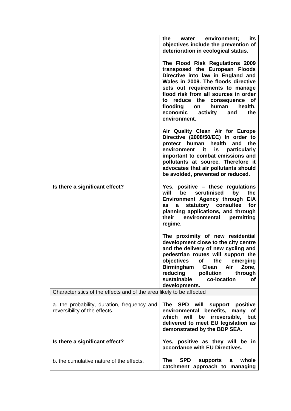|                                                                              | environment;<br>the<br>water<br>its<br>objectives include the prevention of<br>deterioration in ecological status.                                                                                                                                                                                                                                   |
|------------------------------------------------------------------------------|------------------------------------------------------------------------------------------------------------------------------------------------------------------------------------------------------------------------------------------------------------------------------------------------------------------------------------------------------|
|                                                                              | The Flood Risk Regulations 2009<br>transposed the European Floods<br>Directive into law in England and<br>Wales in 2009. The floods directive<br>sets out requirements to manage<br>flood risk from all sources in order<br>to reduce the consequence of<br>flooding<br>human<br>health,<br>on<br>economic<br>activity<br>and<br>the<br>environment. |
|                                                                              | Air Quality Clean Air for Europe<br>Directive (2008/50/EC) In order to<br>protect human<br>health<br>and the<br>is<br>environment<br>it<br>particularly<br>important to combat emissions and<br>pollutants at source. Therefore it<br>advocates that air pollutants should<br>be avoided, prevented or reduced.                                      |
| Is there a significant effect?                                               | Yes, positive - these regulations<br>will<br>scrutinised<br>be<br>by<br>the<br>Environment Agency through EIA<br>a statutory consultee<br>for<br><b>as</b><br>planning applications, and through<br>their<br>environmental<br>permitting<br>regime.                                                                                                  |
|                                                                              | The proximity of new residential<br>development close to the city centre<br>and the delivery of new cycling and<br>pedestrian routes will support the<br>objectives<br>of<br>the<br>emerging<br><b>Clean</b><br>Air<br><b>Birmingham</b><br>Zone,<br>reducing<br>pollution<br>through<br>sustainable<br>co-location<br>Οf<br>developments.           |
| Characteristics of the effects and of the area likely to be affected         |                                                                                                                                                                                                                                                                                                                                                      |
| a. the probability, duration, frequency and<br>reversibility of the effects. | The SPD will support positive<br>environmental benefits, many of<br>which will be<br>irreversible,<br>but<br>delivered to meet EU legislation as<br>demonstrated by the BDP SEA.                                                                                                                                                                     |
| Is there a significant effect?                                               | Yes, positive as they will be in<br>accordance with EU Directives.                                                                                                                                                                                                                                                                                   |
| b. the cumulative nature of the effects.                                     | The<br><b>SPD</b><br>whole<br>supports<br>a<br>catchment approach to managing                                                                                                                                                                                                                                                                        |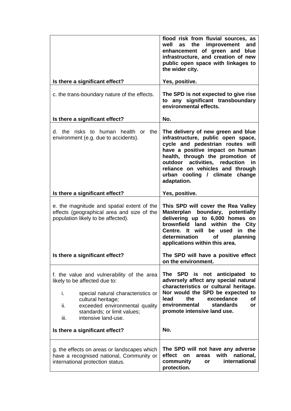|                                                                                                                                                                                                                                                                                        | flood risk from fluvial sources, as<br>well<br>the<br>improvement<br>and<br>as<br>enhancement of green and blue<br>infrastructure, and creation of new<br>public open space with linkages to<br>the wider city.                                                                                                 |
|----------------------------------------------------------------------------------------------------------------------------------------------------------------------------------------------------------------------------------------------------------------------------------------|-----------------------------------------------------------------------------------------------------------------------------------------------------------------------------------------------------------------------------------------------------------------------------------------------------------------|
| Is there a significant effect?                                                                                                                                                                                                                                                         | Yes, positive.                                                                                                                                                                                                                                                                                                  |
| c. the trans-boundary nature of the effects.                                                                                                                                                                                                                                           | The SPD is not expected to give rise<br>to any significant transboundary<br>environmental effects.                                                                                                                                                                                                              |
| Is there a significant effect?                                                                                                                                                                                                                                                         | No.                                                                                                                                                                                                                                                                                                             |
| d. the risks to human health or the<br>environment (e.g. due to accidents).                                                                                                                                                                                                            | The delivery of new green and blue<br>infrastructure, public open space,<br>cycle and pedestrian routes will<br>have a positive impact on human<br>health, through the promotion of<br>outdoor activities, reduction<br>in<br>reliance on vehicles and through<br>urban cooling / climate change<br>adaptation. |
| Is there a significant effect?                                                                                                                                                                                                                                                         | Yes, positive.                                                                                                                                                                                                                                                                                                  |
| e. the magnitude and spatial extent of the<br>effects (geographical area and size of the<br>population likely to be affected).                                                                                                                                                         | This SPD will cover the Rea Valley<br>Masterplan boundary, potentially<br>delivering up to 6,000 homes on<br>brownfield land within the City<br>Centre. It will be used in the<br>determination of<br>planning<br>applications within this area.                                                                |
| Is there a significant effect?                                                                                                                                                                                                                                                         | The SPD will have a positive effect<br>on the environment.                                                                                                                                                                                                                                                      |
| f. the value and vulnerability of the area<br>likely to be affected due to:<br>i.<br>special natural characteristics or<br>cultural heritage;<br>ii.<br>exceeded environmental quality<br>standards; or limit values;<br>intensive land-use.<br>iii.<br>Is there a significant effect? | The SPD is not anticipated to<br>adversely affect any special natural<br>characteristics or cultural heritage.<br>Nor would the SPD be expected to<br>exceedance<br>lead<br>the<br>оf<br>standards<br>environmental<br>or<br>promote intensive land use.<br>No.                                                 |
|                                                                                                                                                                                                                                                                                        |                                                                                                                                                                                                                                                                                                                 |
| g. the effects on areas or landscapes which<br>have a recognised national, Community or<br>international protection status.                                                                                                                                                            | The SPD will not have any adverse<br>effect<br>with<br>national,<br>on<br>areas<br>community<br>international<br>or<br>protection.                                                                                                                                                                              |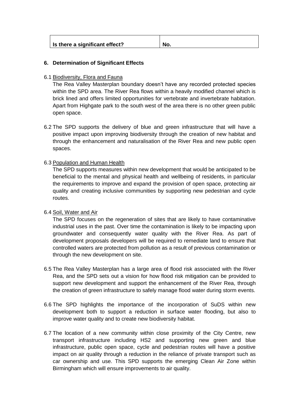| Is there a significant effect? | No. |
|--------------------------------|-----|
|                                |     |

## **6. Determination of Significant Effects**

## 6.1 Biodiversity, Flora and Fauna

The Rea Valley Masterplan boundary doesn't have any recorded protected species within the SPD area. The River Rea flows within a heavily modified channel which is brick lined and offers limited opportunities for vertebrate and invertebrate habitation. Apart from Highgate park to the south west of the area there is no other green public open space.

6.2 The SPD supports the delivery of blue and green infrastructure that will have a positive impact upon improving biodiversity through the creation of new habitat and through the enhancement and naturalisation of the River Rea and new public open spaces.

## 6.3 Population and Human Health

The SPD supports measures within new development that would be anticipated to be beneficial to the mental and physical health and wellbeing of residents, in particular the requirements to improve and expand the provision of open space, protecting air quality and creating inclusive communities by supporting new pedestrian and cycle routes.

### 6.4 Soil, Water and Air

The SPD focuses on the regeneration of sites that are likely to have contaminative industrial uses in the past. Over time the contamination is likely to be impacting upon groundwater and consequently water quality with the River Rea. As part of development proposals developers will be required to remediate land to ensure that controlled waters are protected from pollution as a result of previous contamination or through the new development on site.

- 6.5 The Rea Valley Masterplan has a large area of flood risk associated with the River Rea, and the SPD sets out a vision for how flood risk mitigation can be provided to support new development and support the enhancement of the River Rea, through the creation of green infrastructure to safely manage flood water during storm events.
- 6.6 The SPD highlights the importance of the incorporation of SuDS within new development both to support a reduction in surface water flooding, but also to improve water quality and to create new biodiversity habitat.
- 6.7 The location of a new community within close proximity of the City Centre, new transport infrastructure including HS2 and supporting new green and blue infrastructure, public open space, cycle and pedestrian routes will have a positive impact on air quality through a reduction in the reliance of private transport such as car ownership and use. This SPD supports the emerging Clean Air Zone within Birmingham which will ensure improvements to air quality.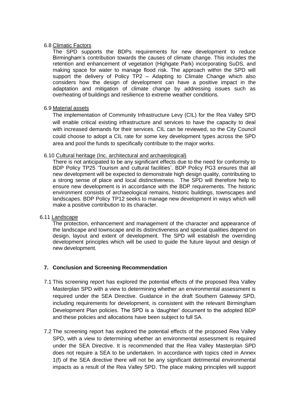#### 6.8 Climatic Factors

The SPD supports the BDPs requirements for new development to reduce Birmingham's contribution towards the causes of climate change. This includes the retention and enhancement of vegetation (Highgate Park) incorporating SuDS, and making space for water to manage flood risk. The approach within the SPD will support the delivery of Policy TP2 – Adapting to Climate Change which also considers how the design of development can have a positive impact in the adaptation and mitigation of climate change by addressing issues such as overheating of buildings and resilience to extreme weather conditions.

#### 6.9 Material assets

The implementation of Community Infrastructure Levy (CIL) for the Rea Valley SPD will enable critical existing infrastructure and services to have the capacity to deal with increased demands for their services. CIL can be reviewed, so the City Council could choose to adopt a CIL rate for some key development types across the SPD area and pool the funds to specifically contribute to the major works.

#### 6.10 Cultural heritage (Inc. architectural and archaeological)

There is not anticipated to be any significant effects due to the need for conformity to BDP Policy TP25 'Tourism and cultural facilities'. BDP Policy PG3 ensures that all new development will be expected to demonstrate high design quality, contributing to a strong sense of place and local distinctiveness. The SPD will therefore help to ensure new development is in accordance with the BDP requirements. The historic environment consists of archaeological remains, historic buildings, townscapes and landscapes. BDP Policy TP12 seeks to manage new development in ways which will make a positive contribution to its character.

#### 6.11 Landscape

The protection, enhancement and management of the character and appearance of the landscape and townscape and its distinctiveness and special qualities depend on design, layout and extent of development. The SPD will establish the overriding development principles which will be used to guide the future layout and design of new development.

### **7. Conclusion and Screening Recommendation**

- 7.1 This screening report has explored the potential effects of the proposed Rea Valley Masterplan SPD with a view to determining whether an environmental assessment is required under the SEA Directive. Guidance in the draft Southern Gateway SPD, including requirements for development, is consistent with the relevant Birmingham Development Plan policies. The SPD is a 'daughter' document to the adopted BDP and these policies and allocations have been subject to full SA.
- 7.2 The screening report has explored the potential effects of the proposed Rea Valley SPD, with a view to determining whether an environmental assessment is required under the SEA Directive. It is recommended that the Rea Valley Masterplan SPD does not require a SEA to be undertaken. In accordance with topics cited in Annex 1(f) of the SEA directive there will not be any significant detrimental environmental impacts as a result of the Rea Valley SPD. The place making principles will support